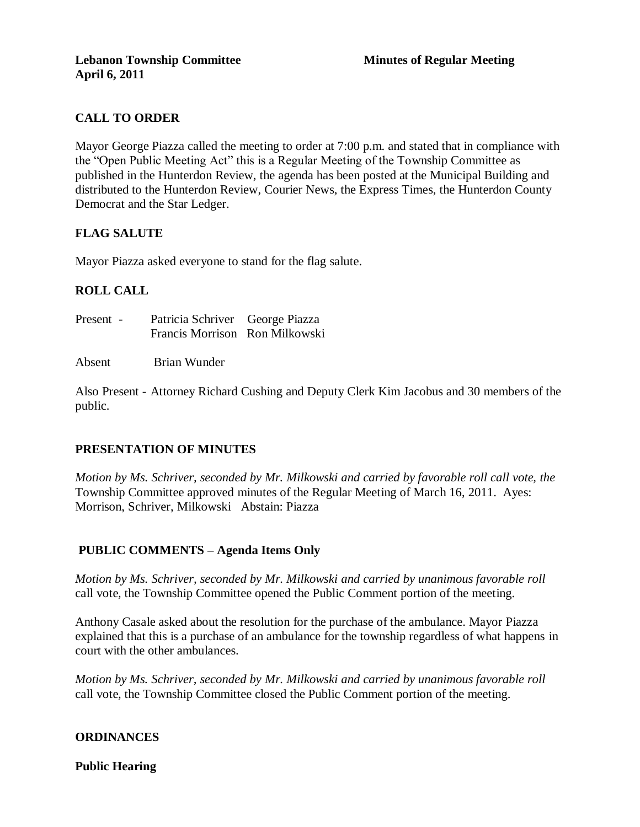# **CALL TO ORDER**

Mayor George Piazza called the meeting to order at 7:00 p.m. and stated that in compliance with the "Open Public Meeting Act" this is a Regular Meeting of the Township Committee as published in the Hunterdon Review, the agenda has been posted at the Municipal Building and distributed to the Hunterdon Review, Courier News, the Express Times, the Hunterdon County Democrat and the Star Ledger.

# **FLAG SALUTE**

Mayor Piazza asked everyone to stand for the flag salute.

# **ROLL CALL**

| Present - | Patricia Schriver George Piazza |  |
|-----------|---------------------------------|--|
|           | Francis Morrison Ron Milkowski  |  |

Absent Brian Wunder

Also Present - Attorney Richard Cushing and Deputy Clerk Kim Jacobus and 30 members of the public.

#### **PRESENTATION OF MINUTES**

*Motion by Ms. Schriver, seconded by Mr. Milkowski and carried by favorable roll call vote, the* Township Committee approved minutes of the Regular Meeting of March 16, 2011. Ayes: Morrison, Schriver, Milkowski Abstain: Piazza

#### **PUBLIC COMMENTS – Agenda Items Only**

*Motion by Ms. Schriver, seconded by Mr. Milkowski and carried by unanimous favorable roll*  call vote*,* the Township Committee opened the Public Comment portion of the meeting.

Anthony Casale asked about the resolution for the purchase of the ambulance. Mayor Piazza explained that this is a purchase of an ambulance for the township regardless of what happens in court with the other ambulances.

*Motion by Ms. Schriver, seconded by Mr. Milkowski and carried by unanimous favorable roll*  call vote*,* the Township Committee closed the Public Comment portion of the meeting.

#### **ORDINANCES**

**Public Hearing**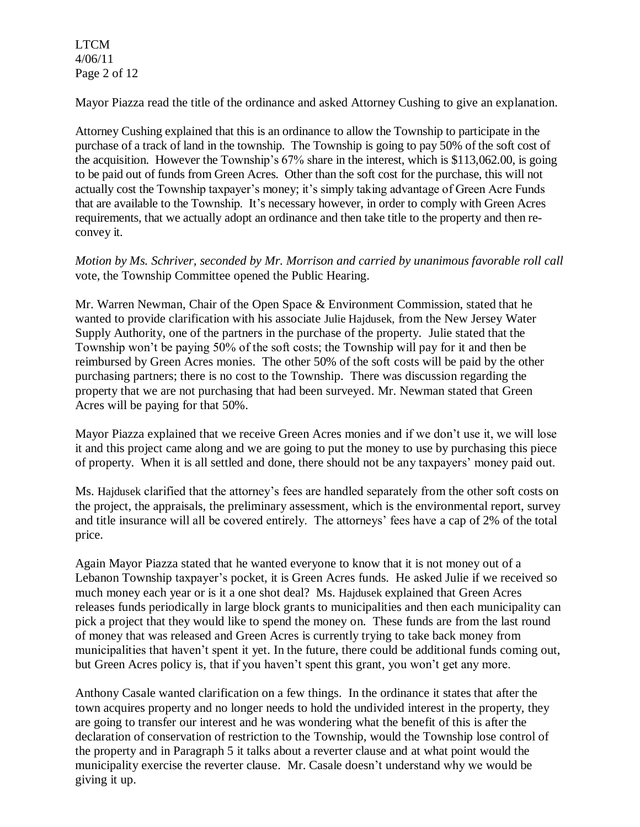LTCM 4/06/11 Page 2 of 12

Mayor Piazza read the title of the ordinance and asked Attorney Cushing to give an explanation.

Attorney Cushing explained that this is an ordinance to allow the Township to participate in the purchase of a track of land in the township. The Township is going to pay 50% of the soft cost of the acquisition. However the Township's 67% share in the interest, which is \$113,062.00, is going to be paid out of funds from Green Acres. Other than the soft cost for the purchase, this will not actually cost the Township taxpayer's money; it's simply taking advantage of Green Acre Funds that are available to the Township. It's necessary however, in order to comply with Green Acres requirements, that we actually adopt an ordinance and then take title to the property and then reconvey it.

*Motion by Ms. Schriver, seconded by Mr. Morrison and carried by unanimous favorable roll call*  vote, the Township Committee opened the Public Hearing.

Mr. Warren Newman, Chair of the Open Space & Environment Commission, stated that he wanted to provide clarification with his associate Julie Hajdusek, from the New Jersey Water Supply Authority, one of the partners in the purchase of the property. Julie stated that the Township won't be paying 50% of the soft costs; the Township will pay for it and then be reimbursed by Green Acres monies. The other 50% of the soft costs will be paid by the other purchasing partners; there is no cost to the Township. There was discussion regarding the property that we are not purchasing that had been surveyed. Mr. Newman stated that Green Acres will be paying for that 50%.

Mayor Piazza explained that we receive Green Acres monies and if we don't use it, we will lose it and this project came along and we are going to put the money to use by purchasing this piece of property. When it is all settled and done, there should not be any taxpayers' money paid out.

Ms. Hajdusek clarified that the attorney's fees are handled separately from the other soft costs on the project, the appraisals, the preliminary assessment, which is the environmental report, survey and title insurance will all be covered entirely. The attorneys' fees have a cap of 2% of the total price.

Again Mayor Piazza stated that he wanted everyone to know that it is not money out of a Lebanon Township taxpayer's pocket, it is Green Acres funds. He asked Julie if we received so much money each year or is it a one shot deal? Ms. Hajdusek explained that Green Acres releases funds periodically in large block grants to municipalities and then each municipality can pick a project that they would like to spend the money on. These funds are from the last round of money that was released and Green Acres is currently trying to take back money from municipalities that haven't spent it yet. In the future, there could be additional funds coming out, but Green Acres policy is, that if you haven't spent this grant, you won't get any more.

Anthony Casale wanted clarification on a few things. In the ordinance it states that after the town acquires property and no longer needs to hold the undivided interest in the property, they are going to transfer our interest and he was wondering what the benefit of this is after the declaration of conservation of restriction to the Township, would the Township lose control of the property and in Paragraph 5 it talks about a reverter clause and at what point would the municipality exercise the reverter clause. Mr. Casale doesn't understand why we would be giving it up.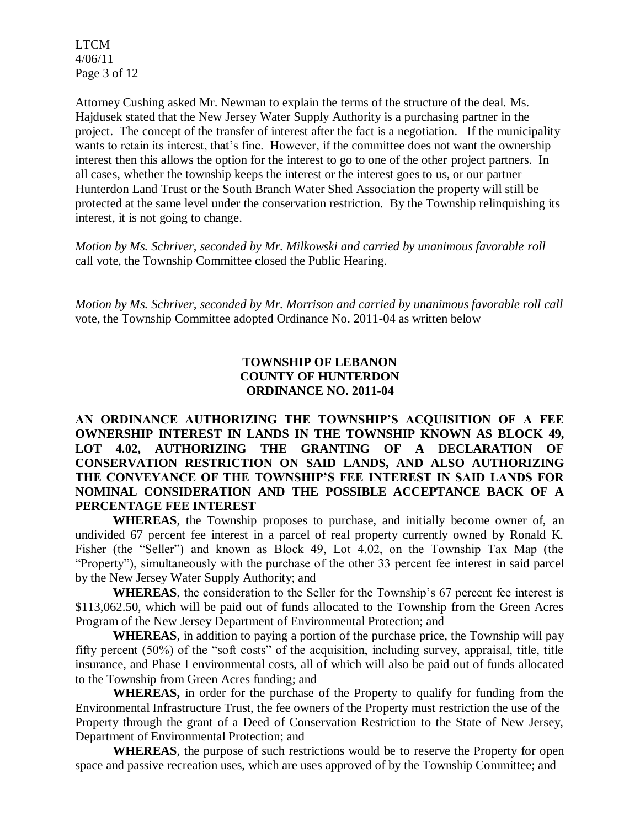LTCM 4/06/11 Page 3 of 12

Attorney Cushing asked Mr. Newman to explain the terms of the structure of the deal. Ms. Hajdusek stated that the New Jersey Water Supply Authority is a purchasing partner in the project. The concept of the transfer of interest after the fact is a negotiation. If the municipality wants to retain its interest, that's fine. However, if the committee does not want the ownership interest then this allows the option for the interest to go to one of the other project partners. In all cases, whether the township keeps the interest or the interest goes to us, or our partner Hunterdon Land Trust or the South Branch Water Shed Association the property will still be protected at the same level under the conservation restriction. By the Township relinquishing its interest, it is not going to change.

*Motion by Ms. Schriver, seconded by Mr. Milkowski and carried by unanimous favorable roll*  call vote, the Township Committee closed the Public Hearing.

*Motion by Ms. Schriver, seconded by Mr. Morrison and carried by unanimous favorable roll call*  vote*,* the Township Committee adopted Ordinance No. 2011-04 as written below

# **TOWNSHIP OF LEBANON COUNTY OF HUNTERDON ORDINANCE NO. 2011-04**

# **AN ORDINANCE AUTHORIZING THE TOWNSHIP'S ACQUISITION OF A FEE OWNERSHIP INTEREST IN LANDS IN THE TOWNSHIP KNOWN AS BLOCK 49, LOT 4.02, AUTHORIZING THE GRANTING OF A DECLARATION OF CONSERVATION RESTRICTION ON SAID LANDS, AND ALSO AUTHORIZING THE CONVEYANCE OF THE TOWNSHIP'S FEE INTEREST IN SAID LANDS FOR NOMINAL CONSIDERATION AND THE POSSIBLE ACCEPTANCE BACK OF A PERCENTAGE FEE INTEREST**

**WHEREAS**, the Township proposes to purchase, and initially become owner of, an undivided 67 percent fee interest in a parcel of real property currently owned by Ronald K. Fisher (the "Seller") and known as Block 49, Lot 4.02, on the Township Tax Map (the "Property"), simultaneously with the purchase of the other 33 percent fee interest in said parcel by the New Jersey Water Supply Authority; and

**WHEREAS**, the consideration to the Seller for the Township's 67 percent fee interest is \$113,062.50, which will be paid out of funds allocated to the Township from the Green Acres Program of the New Jersey Department of Environmental Protection; and

**WHEREAS**, in addition to paying a portion of the purchase price, the Township will pay fifty percent (50%) of the "soft costs" of the acquisition, including survey, appraisal, title, title insurance, and Phase I environmental costs, all of which will also be paid out of funds allocated to the Township from Green Acres funding; and

**WHEREAS,** in order for the purchase of the Property to qualify for funding from the Environmental Infrastructure Trust, the fee owners of the Property must restriction the use of the Property through the grant of a Deed of Conservation Restriction to the State of New Jersey, Department of Environmental Protection; and

**WHEREAS**, the purpose of such restrictions would be to reserve the Property for open space and passive recreation uses, which are uses approved of by the Township Committee; and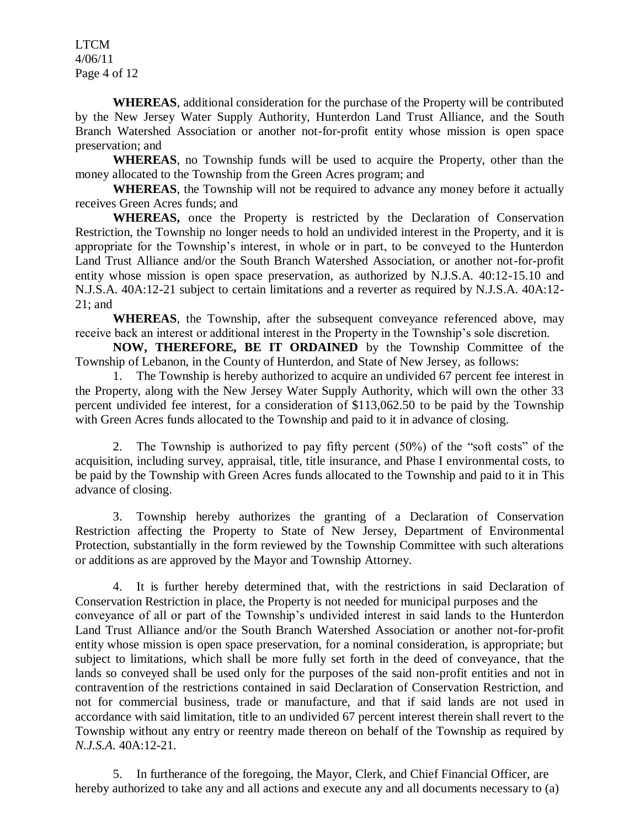LTCM 4/06/11 Page 4 of 12

**WHEREAS**, additional consideration for the purchase of the Property will be contributed by the New Jersey Water Supply Authority, Hunterdon Land Trust Alliance, and the South Branch Watershed Association or another not-for-profit entity whose mission is open space preservation; and

**WHEREAS**, no Township funds will be used to acquire the Property, other than the money allocated to the Township from the Green Acres program; and

**WHEREAS**, the Township will not be required to advance any money before it actually receives Green Acres funds; and

**WHEREAS,** once the Property is restricted by the Declaration of Conservation Restriction, the Township no longer needs to hold an undivided interest in the Property, and it is appropriate for the Township's interest, in whole or in part, to be conveyed to the Hunterdon Land Trust Alliance and/or the South Branch Watershed Association, or another not-for-profit entity whose mission is open space preservation, as authorized by N.J.S.A. 40:12-15.10 and N.J.S.A. 40A:12-21 subject to certain limitations and a reverter as required by N.J.S.A. 40A:12- 21; and

**WHEREAS**, the Township, after the subsequent conveyance referenced above, may receive back an interest or additional interest in the Property in the Township's sole discretion.

**NOW, THEREFORE, BE IT ORDAINED** by the Township Committee of the Township of Lebanon, in the County of Hunterdon, and State of New Jersey, as follows:

1. The Township is hereby authorized to acquire an undivided 67 percent fee interest in the Property, along with the New Jersey Water Supply Authority, which will own the other 33 percent undivided fee interest, for a consideration of \$113,062.50 to be paid by the Township with Green Acres funds allocated to the Township and paid to it in advance of closing.

2. The Township is authorized to pay fifty percent (50%) of the "soft costs" of the acquisition, including survey, appraisal, title, title insurance, and Phase I environmental costs, to be paid by the Township with Green Acres funds allocated to the Township and paid to it in This advance of closing.

3. Township hereby authorizes the granting of a Declaration of Conservation Restriction affecting the Property to State of New Jersey, Department of Environmental Protection, substantially in the form reviewed by the Township Committee with such alterations or additions as are approved by the Mayor and Township Attorney.

4. It is further hereby determined that, with the restrictions in said Declaration of Conservation Restriction in place, the Property is not needed for municipal purposes and the conveyance of all or part of the Township's undivided interest in said lands to the Hunterdon Land Trust Alliance and/or the South Branch Watershed Association or another not-for-profit entity whose mission is open space preservation, for a nominal consideration, is appropriate; but subject to limitations, which shall be more fully set forth in the deed of conveyance, that the lands so conveyed shall be used only for the purposes of the said non-profit entities and not in contravention of the restrictions contained in said Declaration of Conservation Restriction, and not for commercial business, trade or manufacture, and that if said lands are not used in accordance with said limitation, title to an undivided 67 percent interest therein shall revert to the Township without any entry or reentry made thereon on behalf of the Township as required by *N.J.S.A*. 40A:12-21.

5. In furtherance of the foregoing, the Mayor, Clerk, and Chief Financial Officer, are hereby authorized to take any and all actions and execute any and all documents necessary to (a)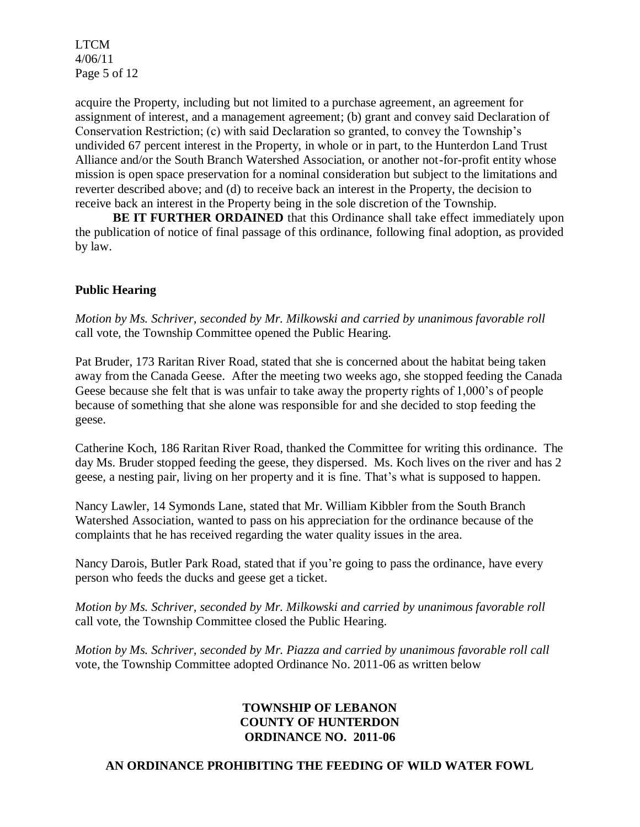LTCM 4/06/11 Page 5 of 12

acquire the Property, including but not limited to a purchase agreement, an agreement for assignment of interest, and a management agreement; (b) grant and convey said Declaration of Conservation Restriction; (c) with said Declaration so granted, to convey the Township's undivided 67 percent interest in the Property, in whole or in part, to the Hunterdon Land Trust Alliance and/or the South Branch Watershed Association, or another not-for-profit entity whose mission is open space preservation for a nominal consideration but subject to the limitations and reverter described above; and (d) to receive back an interest in the Property, the decision to receive back an interest in the Property being in the sole discretion of the Township.

**BE IT FURTHER ORDAINED** that this Ordinance shall take effect immediately upon the publication of notice of final passage of this ordinance, following final adoption, as provided by law.

# **Public Hearing**

*Motion by Ms. Schriver, seconded by Mr. Milkowski and carried by unanimous favorable roll*  call vote*,* the Township Committee opened the Public Hearing.

Pat Bruder, 173 Raritan River Road, stated that she is concerned about the habitat being taken away from the Canada Geese. After the meeting two weeks ago, she stopped feeding the Canada Geese because she felt that is was unfair to take away the property rights of 1,000's of people because of something that she alone was responsible for and she decided to stop feeding the geese.

Catherine Koch, 186 Raritan River Road, thanked the Committee for writing this ordinance. The day Ms. Bruder stopped feeding the geese, they dispersed. Ms. Koch lives on the river and has 2 geese, a nesting pair, living on her property and it is fine. That's what is supposed to happen.

Nancy Lawler, 14 Symonds Lane, stated that Mr. William Kibbler from the South Branch Watershed Association, wanted to pass on his appreciation for the ordinance because of the complaints that he has received regarding the water quality issues in the area.

Nancy Darois, Butler Park Road, stated that if you're going to pass the ordinance, have every person who feeds the ducks and geese get a ticket.

*Motion by Ms. Schriver, seconded by Mr. Milkowski and carried by unanimous favorable roll*  call vote*,* the Township Committee closed the Public Hearing.

*Motion by Ms. Schriver, seconded by Mr. Piazza and carried by unanimous favorable roll call*  vote*,* the Township Committee adopted Ordinance No. 2011-06 as written below

# **TOWNSHIP OF LEBANON COUNTY OF HUNTERDON ORDINANCE NO. 2011-06**

#### **AN ORDINANCE PROHIBITING THE FEEDING OF WILD WATER FOWL**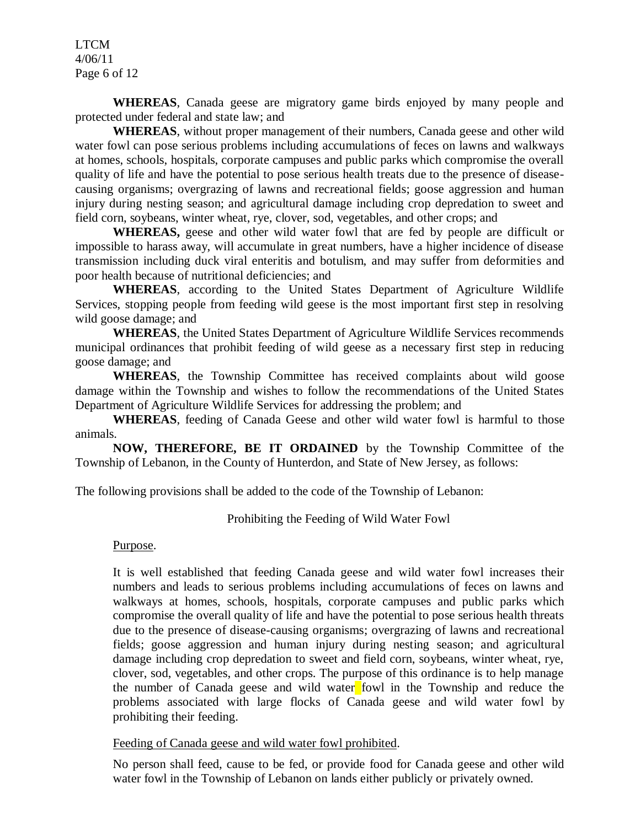LTCM 4/06/11 Page 6 of 12

**WHEREAS**, Canada geese are migratory game birds enjoyed by many people and protected under federal and state law; and

**WHEREAS**, without proper management of their numbers, Canada geese and other wild water fowl can pose serious problems including accumulations of feces on lawns and walkways at homes, schools, hospitals, corporate campuses and public parks which compromise the overall quality of life and have the potential to pose serious health treats due to the presence of diseasecausing organisms; overgrazing of lawns and recreational fields; goose aggression and human injury during nesting season; and agricultural damage including crop depredation to sweet and field corn, soybeans, winter wheat, rye, clover, sod, vegetables, and other crops; and

**WHEREAS,** geese and other wild water fowl that are fed by people are difficult or impossible to harass away, will accumulate in great numbers, have a higher incidence of disease transmission including duck viral enteritis and botulism, and may suffer from deformities and poor health because of nutritional deficiencies; and

**WHEREAS**, according to the United States Department of Agriculture Wildlife Services, stopping people from feeding wild geese is the most important first step in resolving wild goose damage; and

**WHEREAS**, the United States Department of Agriculture Wildlife Services recommends municipal ordinances that prohibit feeding of wild geese as a necessary first step in reducing goose damage; and

**WHEREAS**, the Township Committee has received complaints about wild goose damage within the Township and wishes to follow the recommendations of the United States Department of Agriculture Wildlife Services for addressing the problem; and

**WHEREAS**, feeding of Canada Geese and other wild water fowl is harmful to those animals.

**NOW, THEREFORE, BE IT ORDAINED** by the Township Committee of the Township of Lebanon, in the County of Hunterdon, and State of New Jersey, as follows:

The following provisions shall be added to the code of the Township of Lebanon:

Prohibiting the Feeding of Wild Water Fowl

Purpose.

It is well established that feeding Canada geese and wild water fowl increases their numbers and leads to serious problems including accumulations of feces on lawns and walkways at homes, schools, hospitals, corporate campuses and public parks which compromise the overall quality of life and have the potential to pose serious health threats due to the presence of disease-causing organisms; overgrazing of lawns and recreational fields; goose aggression and human injury during nesting season; and agricultural damage including crop depredation to sweet and field corn, soybeans, winter wheat, rye, clover, sod, vegetables, and other crops. The purpose of this ordinance is to help manage the number of Canada geese and wild water fowl in the Township and reduce the problems associated with large flocks of Canada geese and wild water fowl by prohibiting their feeding.

Feeding of Canada geese and wild water fowl prohibited.

No person shall feed, cause to be fed, or provide food for Canada geese and other wild water fowl in the Township of Lebanon on lands either publicly or privately owned.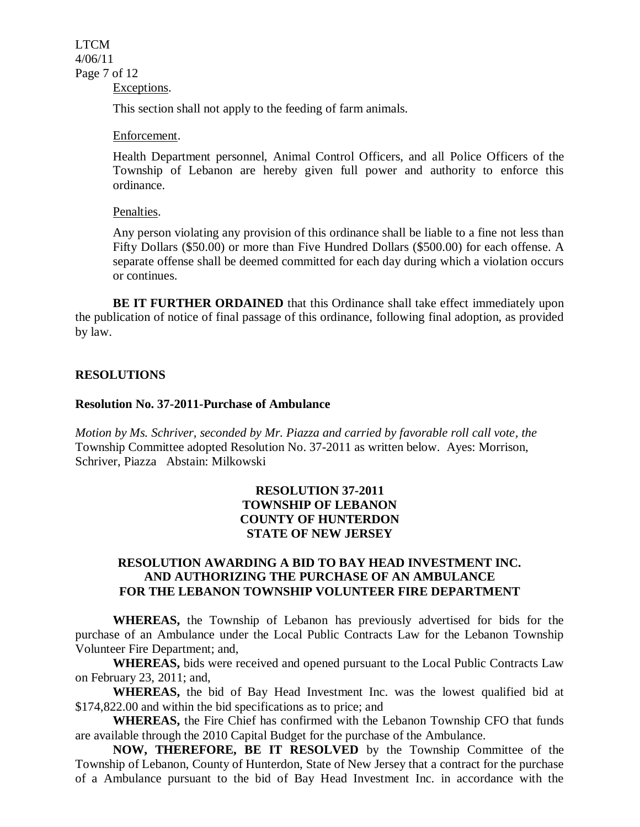LTCM 4/06/11 Page 7 of 12 Exceptions.

This section shall not apply to the feeding of farm animals.

#### Enforcement.

Health Department personnel, Animal Control Officers, and all Police Officers of the Township of Lebanon are hereby given full power and authority to enforce this ordinance.

#### Penalties.

Any person violating any provision of this ordinance shall be liable to a fine not less than Fifty Dollars (\$50.00) or more than Five Hundred Dollars (\$500.00) for each offense. A separate offense shall be deemed committed for each day during which a violation occurs or continues.

**BE IT FURTHER ORDAINED** that this Ordinance shall take effect immediately upon the publication of notice of final passage of this ordinance, following final adoption, as provided by law.

#### **RESOLUTIONS**

#### **Resolution No. 37-2011-Purchase of Ambulance**

*Motion by Ms. Schriver, seconded by Mr. Piazza and carried by favorable roll call vote, the* Township Committee adopted Resolution No. 37-2011 as written below. Ayes: Morrison, Schriver, Piazza Abstain: Milkowski

# **RESOLUTION 37-2011 TOWNSHIP OF LEBANON COUNTY OF HUNTERDON STATE OF NEW JERSEY**

### **RESOLUTION AWARDING A BID TO BAY HEAD INVESTMENT INC. AND AUTHORIZING THE PURCHASE OF AN AMBULANCE FOR THE LEBANON TOWNSHIP VOLUNTEER FIRE DEPARTMENT**

**WHEREAS,** the Township of Lebanon has previously advertised for bids for the purchase of an Ambulance under the Local Public Contracts Law for the Lebanon Township Volunteer Fire Department; and,

**WHEREAS,** bids were received and opened pursuant to the Local Public Contracts Law on February 23, 2011; and,

**WHEREAS,** the bid of Bay Head Investment Inc. was the lowest qualified bid at \$174,822.00 and within the bid specifications as to price; and

**WHEREAS,** the Fire Chief has confirmed with the Lebanon Township CFO that funds are available through the 2010 Capital Budget for the purchase of the Ambulance.

**NOW, THEREFORE, BE IT RESOLVED** by the Township Committee of the Township of Lebanon, County of Hunterdon, State of New Jersey that a contract for the purchase of a Ambulance pursuant to the bid of Bay Head Investment Inc. in accordance with the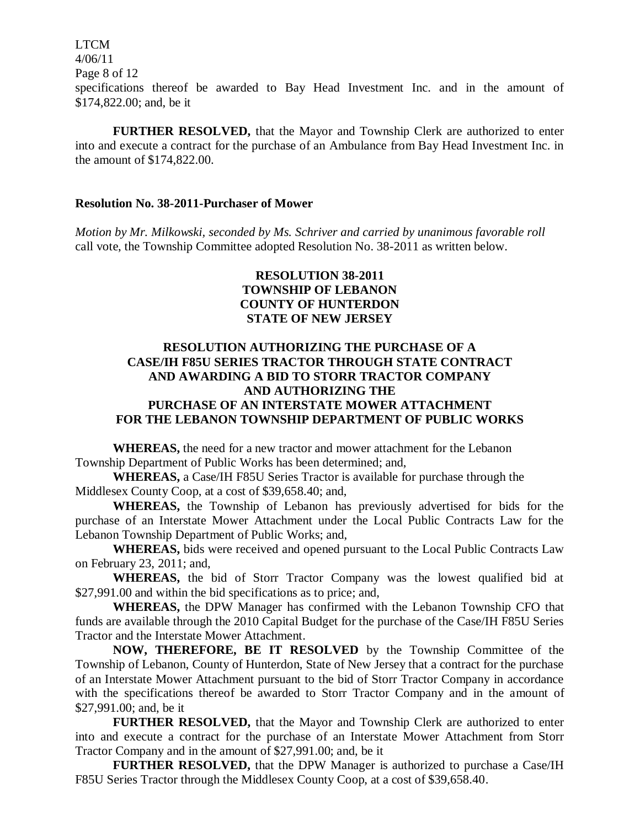LTCM 4/06/11 Page 8 of 12 specifications thereof be awarded to Bay Head Investment Inc. and in the amount of \$174,822.00; and, be it

**FURTHER RESOLVED,** that the Mayor and Township Clerk are authorized to enter into and execute a contract for the purchase of an Ambulance from Bay Head Investment Inc. in the amount of \$174,822.00.

#### **Resolution No. 38-2011-Purchaser of Mower**

*Motion by Mr. Milkowski, seconded by Ms. Schriver and carried by unanimous favorable roll*  call vote, the Township Committee adopted Resolution No. 38-2011 as written below.

# **RESOLUTION 38-2011 TOWNSHIP OF LEBANON COUNTY OF HUNTERDON STATE OF NEW JERSEY**

# **RESOLUTION AUTHORIZING THE PURCHASE OF A CASE/IH F85U SERIES TRACTOR THROUGH STATE CONTRACT AND AWARDING A BID TO STORR TRACTOR COMPANY AND AUTHORIZING THE PURCHASE OF AN INTERSTATE MOWER ATTACHMENT FOR THE LEBANON TOWNSHIP DEPARTMENT OF PUBLIC WORKS**

**WHEREAS,** the need for a new tractor and mower attachment for the Lebanon Township Department of Public Works has been determined; and,

**WHEREAS,** a Case/IH F85U Series Tractor is available for purchase through the Middlesex County Coop, at a cost of \$39,658.40; and,

**WHEREAS,** the Township of Lebanon has previously advertised for bids for the purchase of an Interstate Mower Attachment under the Local Public Contracts Law for the Lebanon Township Department of Public Works; and,

**WHEREAS,** bids were received and opened pursuant to the Local Public Contracts Law on February 23, 2011; and,

**WHEREAS,** the bid of Storr Tractor Company was the lowest qualified bid at \$27,991.00 and within the bid specifications as to price; and,

**WHEREAS,** the DPW Manager has confirmed with the Lebanon Township CFO that funds are available through the 2010 Capital Budget for the purchase of the Case/IH F85U Series Tractor and the Interstate Mower Attachment.

**NOW, THEREFORE, BE IT RESOLVED** by the Township Committee of the Township of Lebanon, County of Hunterdon, State of New Jersey that a contract for the purchase of an Interstate Mower Attachment pursuant to the bid of Storr Tractor Company in accordance with the specifications thereof be awarded to Storr Tractor Company and in the amount of \$27,991.00; and, be it

**FURTHER RESOLVED,** that the Mayor and Township Clerk are authorized to enter into and execute a contract for the purchase of an Interstate Mower Attachment from Storr Tractor Company and in the amount of \$27,991.00; and, be it

**FURTHER RESOLVED,** that the DPW Manager is authorized to purchase a Case/IH F85U Series Tractor through the Middlesex County Coop, at a cost of \$39,658.40.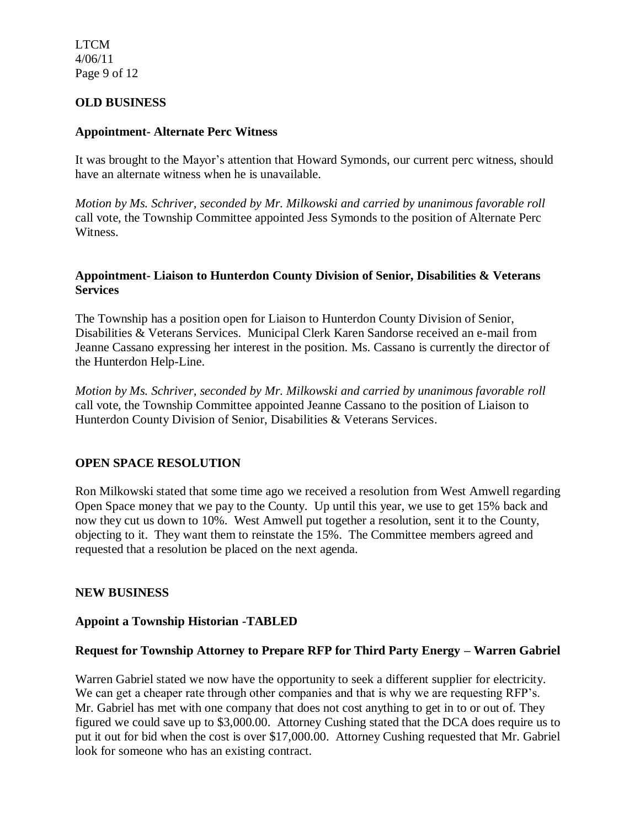LTCM 4/06/11 Page 9 of 12

# **OLD BUSINESS**

#### **Appointment- Alternate Perc Witness**

It was brought to the Mayor's attention that Howard Symonds, our current perc witness, should have an alternate witness when he is unavailable.

*Motion by Ms. Schriver, seconded by Mr. Milkowski and carried by unanimous favorable roll*  call vote, the Township Committee appointed Jess Symonds to the position of Alternate Perc Witness.

#### **Appointment- Liaison to Hunterdon County Division of Senior, Disabilities & Veterans Services**

The Township has a position open for Liaison to Hunterdon County Division of Senior, Disabilities & Veterans Services. Municipal Clerk Karen Sandorse received an e-mail from Jeanne Cassano expressing her interest in the position. Ms. Cassano is currently the director of the Hunterdon Help-Line.

*Motion by Ms. Schriver, seconded by Mr. Milkowski and carried by unanimous favorable roll*  call vote*,* the Township Committee appointed Jeanne Cassano to the position of Liaison to Hunterdon County Division of Senior, Disabilities & Veterans Services.

# **OPEN SPACE RESOLUTION**

Ron Milkowski stated that some time ago we received a resolution from West Amwell regarding Open Space money that we pay to the County. Up until this year, we use to get 15% back and now they cut us down to 10%. West Amwell put together a resolution, sent it to the County, objecting to it. They want them to reinstate the 15%. The Committee members agreed and requested that a resolution be placed on the next agenda.

#### **NEW BUSINESS**

#### **Appoint a Township Historian -TABLED**

#### **Request for Township Attorney to Prepare RFP for Third Party Energy – Warren Gabriel**

Warren Gabriel stated we now have the opportunity to seek a different supplier for electricity. We can get a cheaper rate through other companies and that is why we are requesting RFP's. Mr. Gabriel has met with one company that does not cost anything to get in to or out of. They figured we could save up to \$3,000.00. Attorney Cushing stated that the DCA does require us to put it out for bid when the cost is over \$17,000.00. Attorney Cushing requested that Mr. Gabriel look for someone who has an existing contract.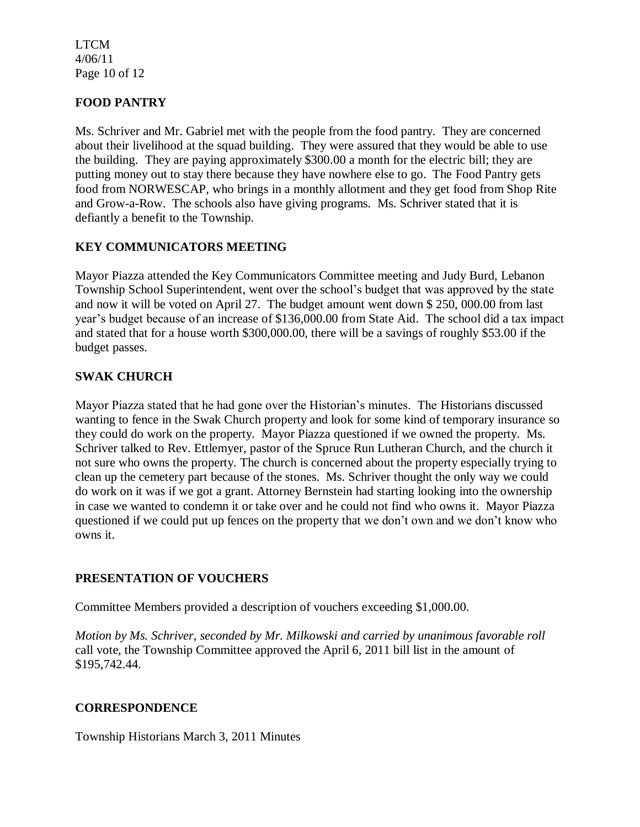LTCM 4/06/11 Page 10 of 12

# **FOOD PANTRY**

Ms. Schriver and Mr. Gabriel met with the people from the food pantry. They are concerned about their livelihood at the squad building. They were assured that they would be able to use the building. They are paying approximately \$300.00 a month for the electric bill; they are putting money out to stay there because they have nowhere else to go. The Food Pantry gets food from NORWESCAP, who brings in a monthly allotment and they get food from Shop Rite and Grow-a-Row. The schools also have giving programs. Ms. Schriver stated that it is defiantly a benefit to the Township.

# **KEY COMMUNICATORS MEETING**

Mayor Piazza attended the Key Communicators Committee meeting and Judy Burd, Lebanon Township School Superintendent, went over the school's budget that was approved by the state and now it will be voted on April 27. The budget amount went down \$ 250, 000.00 from last year's budget because of an increase of \$136,000.00 from State Aid. The school did a tax impact and stated that for a house worth \$300,000.00, there will be a savings of roughly \$53.00 if the budget passes.

# **SWAK CHURCH**

Mayor Piazza stated that he had gone over the Historian's minutes. The Historians discussed wanting to fence in the Swak Church property and look for some kind of temporary insurance so they could do work on the property. Mayor Piazza questioned if we owned the property. Ms. Schriver talked to Rev. Ettlemyer, pastor of the Spruce Run Lutheran Church, and the church it not sure who owns the property. The church is concerned about the property especially trying to clean up the cemetery part because of the stones. Ms. Schriver thought the only way we could do work on it was if we got a grant. Attorney Bernstein had starting looking into the ownership in case we wanted to condemn it or take over and he could not find who owns it. Mayor Piazza questioned if we could put up fences on the property that we don't own and we don't know who owns it.

#### **PRESENTATION OF VOUCHERS**

Committee Members provided a description of vouchers exceeding \$1,000.00.

*Motion by Ms. Schriver, seconded by Mr. Milkowski and carried by unanimous favorable roll* call vote, the Township Committee approved the April 6, 2011 bill list in the amount of \$195,742.44.

#### **CORRESPONDENCE**

Township Historians March 3, 2011 Minutes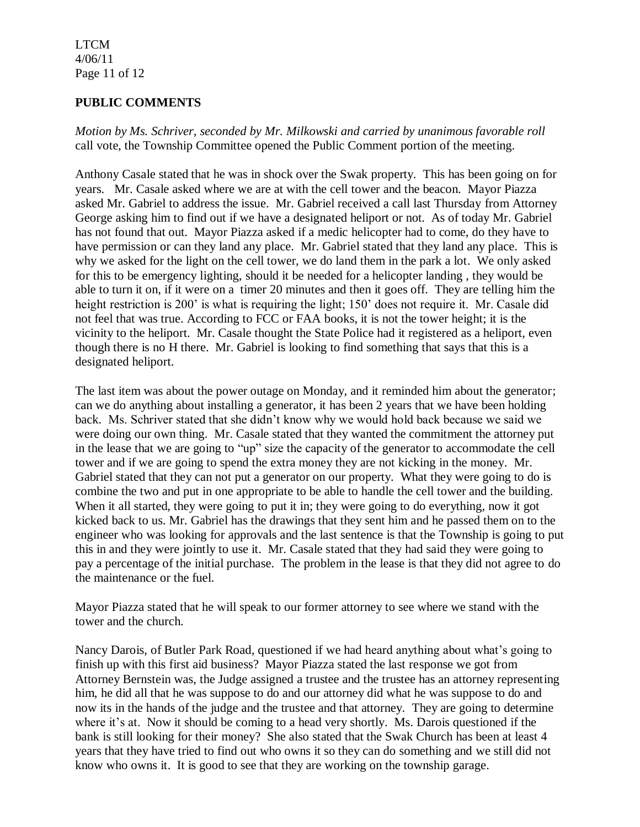LTCM 4/06/11 Page 11 of 12

# **PUBLIC COMMENTS**

*Motion by Ms. Schriver, seconded by Mr. Milkowski and carried by unanimous favorable roll*  call vote, the Township Committee opened the Public Comment portion of the meeting.

Anthony Casale stated that he was in shock over the Swak property. This has been going on for years. Mr. Casale asked where we are at with the cell tower and the beacon. Mayor Piazza asked Mr. Gabriel to address the issue. Mr. Gabriel received a call last Thursday from Attorney George asking him to find out if we have a designated heliport or not. As of today Mr. Gabriel has not found that out. Mayor Piazza asked if a medic helicopter had to come, do they have to have permission or can they land any place. Mr. Gabriel stated that they land any place. This is why we asked for the light on the cell tower, we do land them in the park a lot. We only asked for this to be emergency lighting, should it be needed for a helicopter landing , they would be able to turn it on, if it were on a timer 20 minutes and then it goes off. They are telling him the height restriction is 200' is what is requiring the light; 150' does not require it. Mr. Casale did not feel that was true. According to FCC or FAA books, it is not the tower height; it is the vicinity to the heliport. Mr. Casale thought the State Police had it registered as a heliport, even though there is no H there. Mr. Gabriel is looking to find something that says that this is a designated heliport.

The last item was about the power outage on Monday, and it reminded him about the generator; can we do anything about installing a generator, it has been 2 years that we have been holding back. Ms. Schriver stated that she didn't know why we would hold back because we said we were doing our own thing. Mr. Casale stated that they wanted the commitment the attorney put in the lease that we are going to "up" size the capacity of the generator to accommodate the cell tower and if we are going to spend the extra money they are not kicking in the money. Mr. Gabriel stated that they can not put a generator on our property. What they were going to do is combine the two and put in one appropriate to be able to handle the cell tower and the building. When it all started, they were going to put it in; they were going to do everything, now it got kicked back to us. Mr. Gabriel has the drawings that they sent him and he passed them on to the engineer who was looking for approvals and the last sentence is that the Township is going to put this in and they were jointly to use it. Mr. Casale stated that they had said they were going to pay a percentage of the initial purchase. The problem in the lease is that they did not agree to do the maintenance or the fuel.

Mayor Piazza stated that he will speak to our former attorney to see where we stand with the tower and the church.

Nancy Darois, of Butler Park Road, questioned if we had heard anything about what's going to finish up with this first aid business? Mayor Piazza stated the last response we got from Attorney Bernstein was, the Judge assigned a trustee and the trustee has an attorney representing him, he did all that he was suppose to do and our attorney did what he was suppose to do and now its in the hands of the judge and the trustee and that attorney. They are going to determine where it's at. Now it should be coming to a head very shortly. Ms. Darois questioned if the bank is still looking for their money? She also stated that the Swak Church has been at least 4 years that they have tried to find out who owns it so they can do something and we still did not know who owns it. It is good to see that they are working on the township garage.